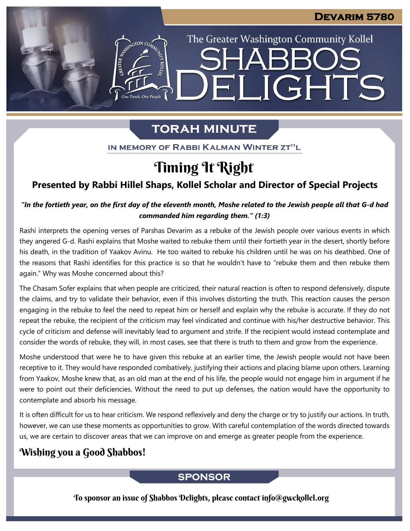The Greater Washington Community Kollel

ELIGHTS

**SHARR** 

# **TORAH MINUTE**

IN MEMORY OF RABBI KALMAN WINTER ZT"L

# Timing It Right

### **Presented by Rabbi Hillel Shaps, Kollel Scholar and Director of Special Projects**

*"In the fortieth year, on the first day of the eleventh month, Moshe related to the Jewish people all that G-d had commanded him regarding them." (1:3)*

Rashi interprets the opening verses of Parshas Devarim as a rebuke of the Jewish people over various events in which they angered G-d. Rashi explains that Moshe waited to rebuke them until their fortieth year in the desert, shortly before his death, in the tradition of Yaakov Avinu. He too waited to rebuke his children until he was on his deathbed. One of the reasons that Rashi identifies for this practice is so that he wouldn't have to "rebuke them and then rebuke them again." Why was Moshe concerned about this?

The Chasam Sofer explains that when people are criticized, their natural reaction is often to respond defensively, dispute the claims, and try to validate their behavior, even if this involves distorting the truth. This reaction causes the person engaging in the rebuke to feel the need to repeat him or herself and explain why the rebuke is accurate. If they do not repeat the rebuke, the recipient of the criticism may feel vindicated and continue with his/her destructive behavior. This cycle of criticism and defense will inevitably lead to argument and strife. If the recipient would instead contemplate and consider the words of rebuke, they will, in most cases, see that there is truth to them and grow from the experience.

Moshe understood that were he to have given this rebuke at an earlier time, the Jewish people would not have been receptive to it. They would have responded combatively, justifying their actions and placing blame upon others. Learning from Yaakov, Moshe knew that, as an old man at the end of his life, the people would not engage him in argument if he were to point out their deficiencies. Without the need to put up defenses, the nation would have the opportunity to contemplate and absorb his message.

It is often difficult for us to hear criticism. We respond reflexively and deny the charge or try to justify our actions. In truth, however, we can use these moments as opportunities to grow. With careful contemplation of the words directed towards us, we are certain to discover areas that we can improve on and emerge as greater people from the experience.

## Wishing you a Good Shabbos!

test

### **SPONSOR**

To sponsor an issue of Shabbos Delights, please contact info@gwckollel.org